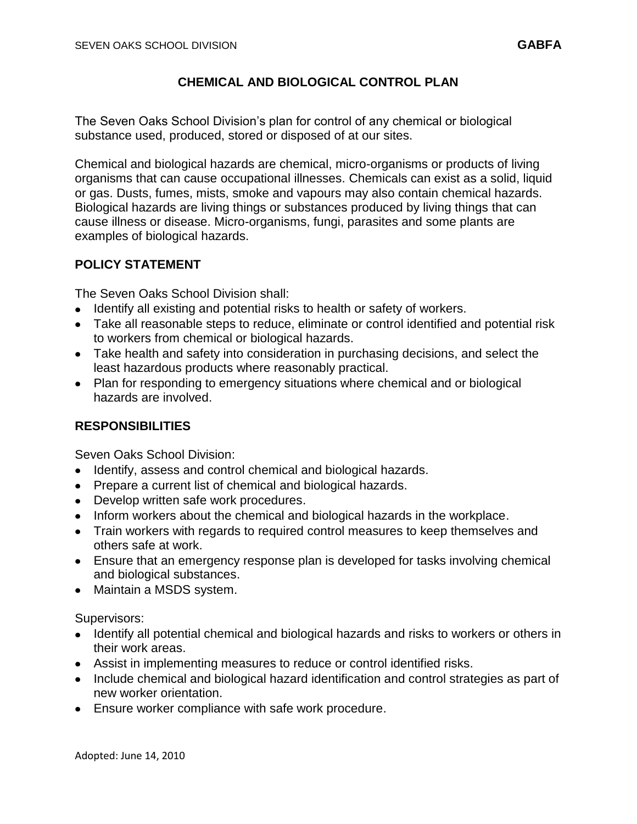# **CHEMICAL AND BIOLOGICAL CONTROL PLAN**

The Seven Oaks School Division's plan for control of any chemical or biological substance used, produced, stored or disposed of at our sites.

Chemical and biological hazards are chemical, micro-organisms or products of living organisms that can cause occupational illnesses. Chemicals can exist as a solid, liquid or gas. Dusts, fumes, mists, smoke and vapours may also contain chemical hazards. Biological hazards are living things or substances produced by living things that can cause illness or disease. Micro-organisms, fungi, parasites and some plants are examples of biological hazards.

# **POLICY STATEMENT**

The Seven Oaks School Division shall:

- Identify all existing and potential risks to health or safety of workers.
- Take all reasonable steps to reduce, eliminate or control identified and potential risk to workers from chemical or biological hazards.
- Take health and safety into consideration in purchasing decisions, and select the least hazardous products where reasonably practical.
- Plan for responding to emergency situations where chemical and or biological hazards are involved.

# **RESPONSIBILITIES**

Seven Oaks School Division:

- Identify, assess and control chemical and biological hazards.
- Prepare a current list of chemical and biological hazards.
- Develop written safe work procedures.
- Inform workers about the chemical and biological hazards in the workplace.
- Train workers with regards to required control measures to keep themselves and others safe at work.
- Ensure that an emergency response plan is developed for tasks involving chemical and biological substances.
- Maintain a MSDS system.

Supervisors:

- Identify all potential chemical and biological hazards and risks to workers or others in their work areas.
- Assist in implementing measures to reduce or control identified risks.
- Include chemical and biological hazard identification and control strategies as part of new worker orientation.
- Ensure worker compliance with safe work procedure.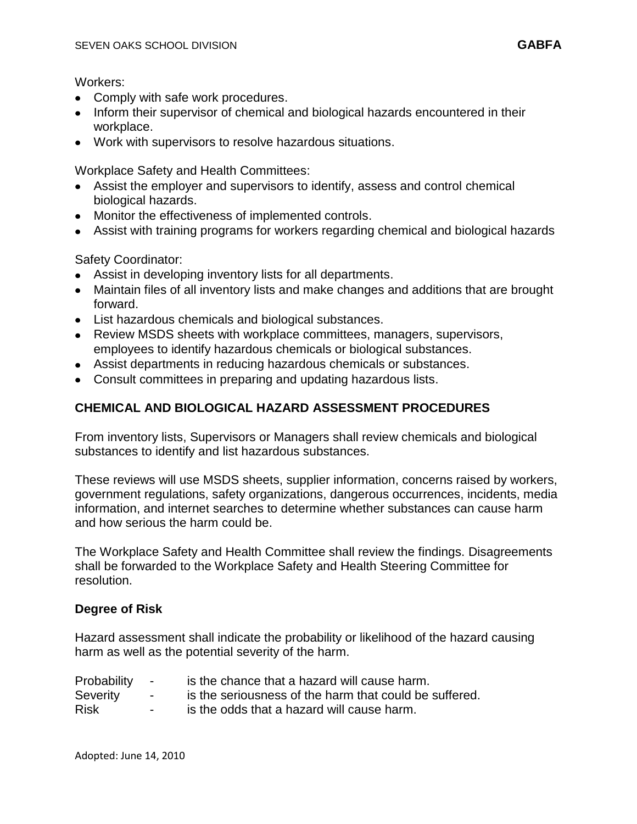Workers:

- Comply with safe work procedures.
- Inform their supervisor of chemical and biological hazards encountered in their workplace.
- Work with supervisors to resolve hazardous situations.

Workplace Safety and Health Committees:

- Assist the employer and supervisors to identify, assess and control chemical biological hazards.
- Monitor the effectiveness of implemented controls.
- Assist with training programs for workers regarding chemical and biological hazards

Safety Coordinator:

- Assist in developing inventory lists for all departments.
- Maintain files of all inventory lists and make changes and additions that are brought forward.
- List hazardous chemicals and biological substances.
- Review MSDS sheets with workplace committees, managers, supervisors, employees to identify hazardous chemicals or biological substances.
- Assist departments in reducing hazardous chemicals or substances.
- Consult committees in preparing and updating hazardous lists.

# **CHEMICAL AND BIOLOGICAL HAZARD ASSESSMENT PROCEDURES**

From inventory lists, Supervisors or Managers shall review chemicals and biological substances to identify and list hazardous substances.

These reviews will use MSDS sheets, supplier information, concerns raised by workers, government regulations, safety organizations, dangerous occurrences, incidents, media information, and internet searches to determine whether substances can cause harm and how serious the harm could be.

The Workplace Safety and Health Committee shall review the findings. Disagreements shall be forwarded to the Workplace Safety and Health Steering Committee for resolution.

# **Degree of Risk**

Hazard assessment shall indicate the probability or likelihood of the hazard causing harm as well as the potential severity of the harm.

| Probability | $\sim$ | is the chance that a hazard will cause harm.           |
|-------------|--------|--------------------------------------------------------|
| Severity    | $\sim$ | is the seriousness of the harm that could be suffered. |
| <b>Risk</b> | $\sim$ | is the odds that a hazard will cause harm.             |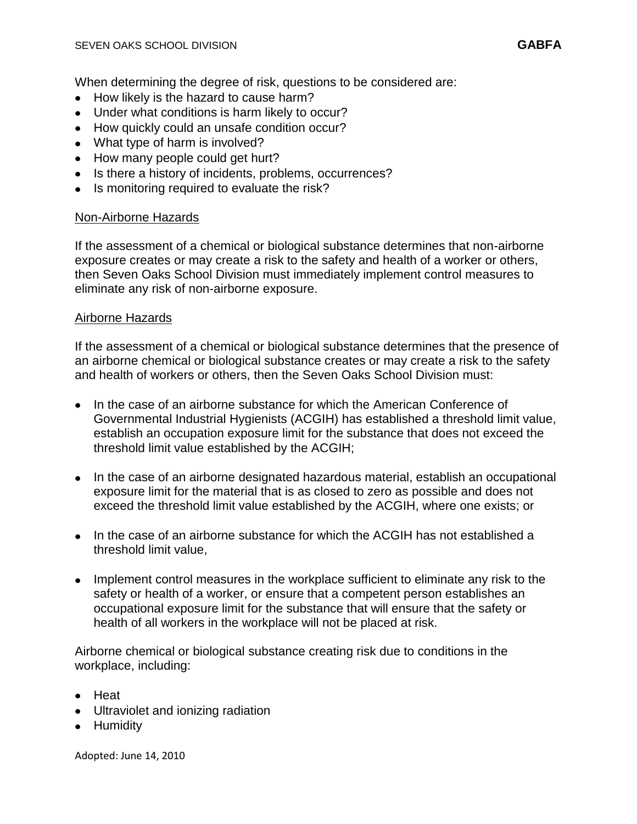When determining the degree of risk, questions to be considered are:

- How likely is the hazard to cause harm?
- Under what conditions is harm likely to occur?
- How quickly could an unsafe condition occur?
- What type of harm is involved?
- How many people could get hurt?
- Is there a history of incidents, problems, occurrences?
- Is monitoring required to evaluate the risk?

# Non-Airborne Hazards

If the assessment of a chemical or biological substance determines that non-airborne exposure creates or may create a risk to the safety and health of a worker or others, then Seven Oaks School Division must immediately implement control measures to eliminate any risk of non-airborne exposure.

### Airborne Hazards

If the assessment of a chemical or biological substance determines that the presence of an airborne chemical or biological substance creates or may create a risk to the safety and health of workers or others, then the Seven Oaks School Division must:

- In the case of an airborne substance for which the American Conference of Governmental Industrial Hygienists (ACGIH) has established a threshold limit value, establish an occupation exposure limit for the substance that does not exceed the threshold limit value established by the ACGIH;
- In the case of an airborne designated hazardous material, establish an occupational exposure limit for the material that is as closed to zero as possible and does not exceed the threshold limit value established by the ACGIH, where one exists; or
- $\bullet$  In the case of an airborne substance for which the ACGIH has not established a threshold limit value,
- Implement control measures in the workplace sufficient to eliminate any risk to the safety or health of a worker, or ensure that a competent person establishes an occupational exposure limit for the substance that will ensure that the safety or health of all workers in the workplace will not be placed at risk.

Airborne chemical or biological substance creating risk due to conditions in the workplace, including:

- Heat
- Ultraviolet and ionizing radiation
- Humidity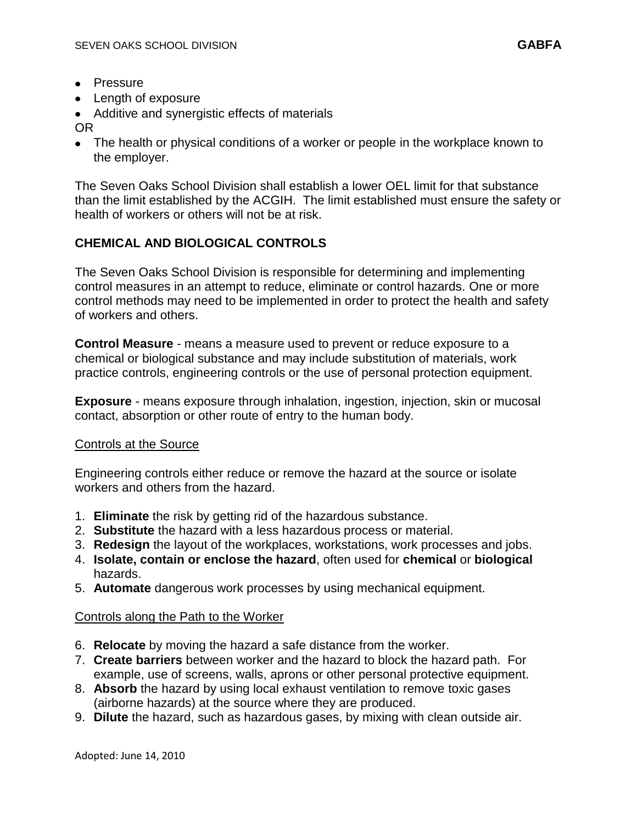- Pressure
- Length of exposure
- Additive and synergistic effects of materials
- OR
- The health or physical conditions of a worker or people in the workplace known to the employer.

The Seven Oaks School Division shall establish a lower OEL limit for that substance than the limit established by the ACGIH. The limit established must ensure the safety or health of workers or others will not be at risk.

### **CHEMICAL AND BIOLOGICAL CONTROLS**

The Seven Oaks School Division is responsible for determining and implementing control measures in an attempt to reduce, eliminate or control hazards. One or more control methods may need to be implemented in order to protect the health and safety of workers and others.

**Control Measure** - means a measure used to prevent or reduce exposure to a chemical or biological substance and may include substitution of materials, work practice controls, engineering controls or the use of personal protection equipment.

**Exposure** - means exposure through inhalation, ingestion, injection, skin or mucosal contact, absorption or other route of entry to the human body.

### Controls at the Source

Engineering controls either reduce or remove the hazard at the source or isolate workers and others from the hazard.

- 1. **Eliminate** the risk by getting rid of the hazardous substance.
- 2. **Substitute** the hazard with a less hazardous process or material.
- 3. **Redesign** the layout of the workplaces, workstations, work processes and jobs.
- 4. **Isolate, contain or enclose the hazard**, often used for **chemical** or **biological**  hazards.
- 5. **Automate** dangerous work processes by using mechanical equipment.

### Controls along the Path to the Worker

- 6. **Relocate** by moving the hazard a safe distance from the worker.
- 7. **Create barriers** between worker and the hazard to block the hazard path. For example, use of screens, walls, aprons or other personal protective equipment.
- 8. **Absorb** the hazard by using local exhaust ventilation to remove toxic gases (airborne hazards) at the source where they are produced.
- 9. **Dilute** the hazard, such as hazardous gases, by mixing with clean outside air.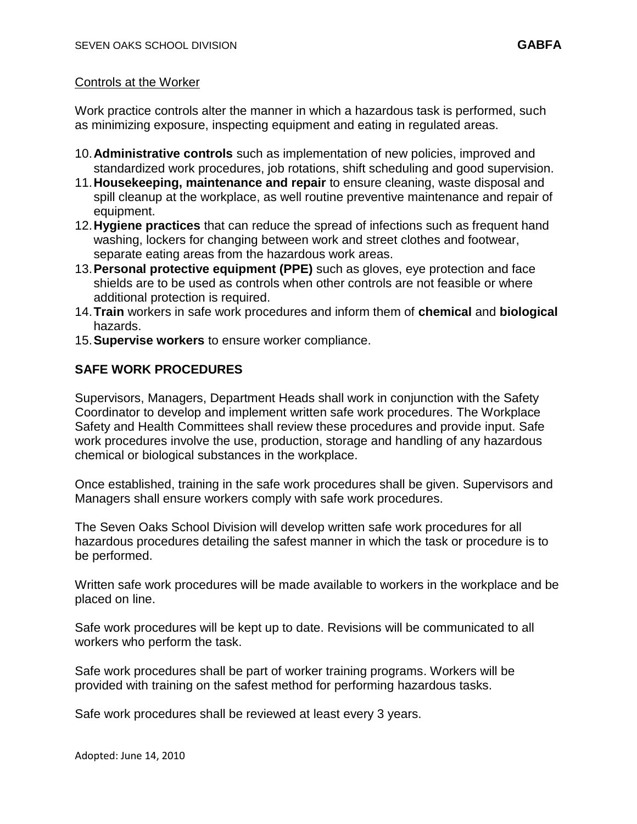### Controls at the Worker

Work practice controls alter the manner in which a hazardous task is performed, such as minimizing exposure, inspecting equipment and eating in regulated areas.

- 10.**Administrative controls** such as implementation of new policies, improved and standardized work procedures, job rotations, shift scheduling and good supervision.
- 11.**Housekeeping, maintenance and repair** to ensure cleaning, waste disposal and spill cleanup at the workplace, as well routine preventive maintenance and repair of equipment.
- 12.**Hygiene practices** that can reduce the spread of infections such as frequent hand washing, lockers for changing between work and street clothes and footwear, separate eating areas from the hazardous work areas.
- 13.**Personal protective equipment (PPE)** such as gloves, eye protection and face shields are to be used as controls when other controls are not feasible or where additional protection is required.
- 14.**Train** workers in safe work procedures and inform them of **chemical** and **biological** hazards.
- 15.**Supervise workers** to ensure worker compliance.

# **SAFE WORK PROCEDURES**

Supervisors, Managers, Department Heads shall work in conjunction with the Safety Coordinator to develop and implement written safe work procedures. The Workplace Safety and Health Committees shall review these procedures and provide input. Safe work procedures involve the use, production, storage and handling of any hazardous chemical or biological substances in the workplace.

Once established, training in the safe work procedures shall be given. Supervisors and Managers shall ensure workers comply with safe work procedures.

The Seven Oaks School Division will develop written safe work procedures for all hazardous procedures detailing the safest manner in which the task or procedure is to be performed.

Written safe work procedures will be made available to workers in the workplace and be placed on line.

Safe work procedures will be kept up to date. Revisions will be communicated to all workers who perform the task.

Safe work procedures shall be part of worker training programs. Workers will be provided with training on the safest method for performing hazardous tasks.

Safe work procedures shall be reviewed at least every 3 years.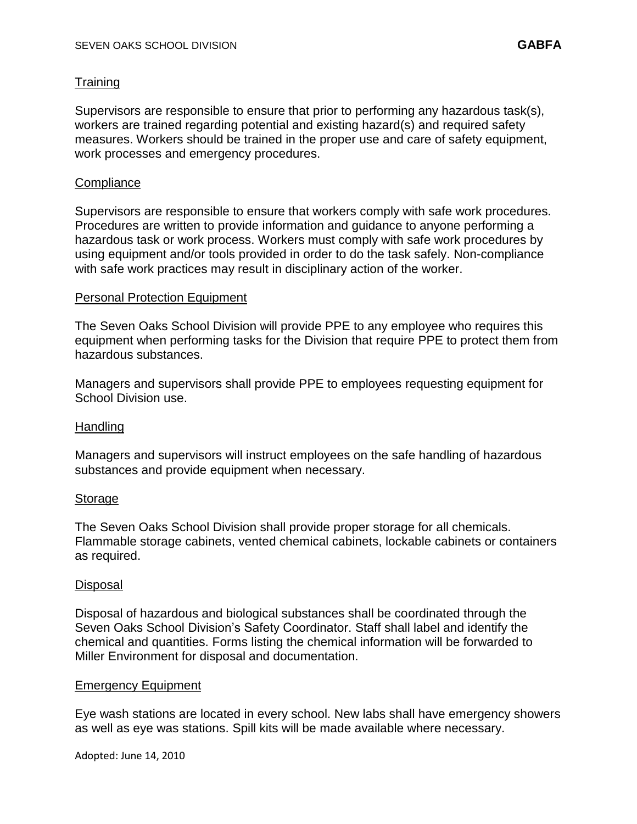### **Training**

Supervisors are responsible to ensure that prior to performing any hazardous task(s), workers are trained regarding potential and existing hazard(s) and required safety measures. Workers should be trained in the proper use and care of safety equipment, work processes and emergency procedures.

#### **Compliance**

Supervisors are responsible to ensure that workers comply with safe work procedures. Procedures are written to provide information and guidance to anyone performing a hazardous task or work process. Workers must comply with safe work procedures by using equipment and/or tools provided in order to do the task safely. Non-compliance with safe work practices may result in disciplinary action of the worker.

#### Personal Protection Equipment

The Seven Oaks School Division will provide PPE to any employee who requires this equipment when performing tasks for the Division that require PPE to protect them from hazardous substances.

Managers and supervisors shall provide PPE to employees requesting equipment for School Division use.

#### **Handling**

Managers and supervisors will instruct employees on the safe handling of hazardous substances and provide equipment when necessary.

#### **Storage**

The Seven Oaks School Division shall provide proper storage for all chemicals. Flammable storage cabinets, vented chemical cabinets, lockable cabinets or containers as required.

#### Disposal

Disposal of hazardous and biological substances shall be coordinated through the Seven Oaks School Division's Safety Coordinator. Staff shall label and identify the chemical and quantities. Forms listing the chemical information will be forwarded to Miller Environment for disposal and documentation.

#### Emergency Equipment

Eye wash stations are located in every school. New labs shall have emergency showers as well as eye was stations. Spill kits will be made available where necessary.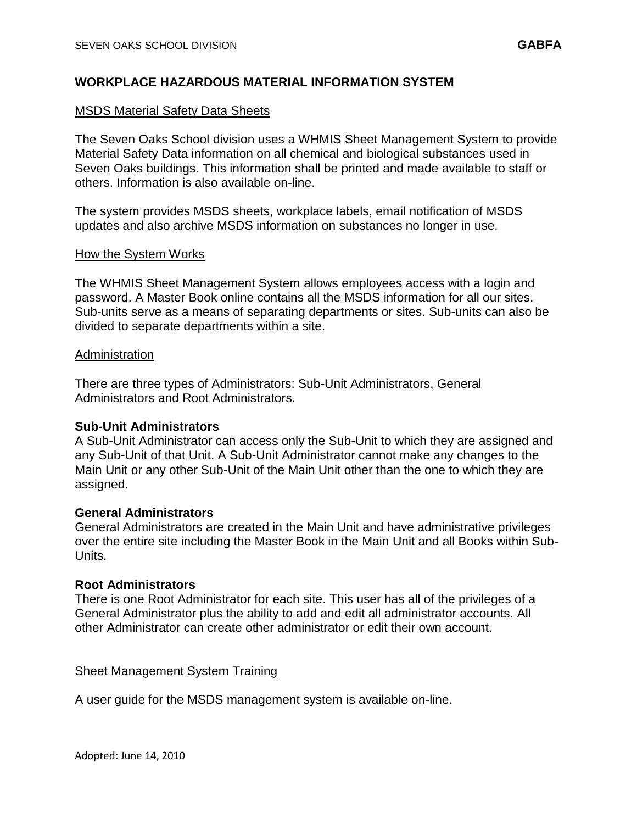# **WORKPLACE HAZARDOUS MATERIAL INFORMATION SYSTEM**

#### MSDS Material Safety Data Sheets

The Seven Oaks School division uses a WHMIS Sheet Management System to provide Material Safety Data information on all chemical and biological substances used in Seven Oaks buildings. This information shall be printed and made available to staff or others. Information is also available on-line.

The system provides MSDS sheets, workplace labels, email notification of MSDS updates and also archive MSDS information on substances no longer in use.

#### How the System Works

The WHMIS Sheet Management System allows employees access with a login and password. A Master Book online contains all the MSDS information for all our sites. Sub-units serve as a means of separating departments or sites. Sub-units can also be divided to separate departments within a site.

#### Administration

There are three types of Administrators: Sub-Unit Administrators, General Administrators and Root Administrators.

### **Sub-Unit Administrators**

A Sub-Unit Administrator can access only the Sub-Unit to which they are assigned and any Sub-Unit of that Unit. A Sub-Unit Administrator cannot make any changes to the Main Unit or any other Sub-Unit of the Main Unit other than the one to which they are assigned.

#### **General Administrators**

General Administrators are created in the Main Unit and have administrative privileges over the entire site including the Master Book in the Main Unit and all Books within Sub-Units.

#### **Root Administrators**

There is one Root Administrator for each site. This user has all of the privileges of a General Administrator plus the ability to add and edit all administrator accounts. All other Administrator can create other administrator or edit their own account.

#### Sheet Management System Training

A user guide for the MSDS management system is available on-line.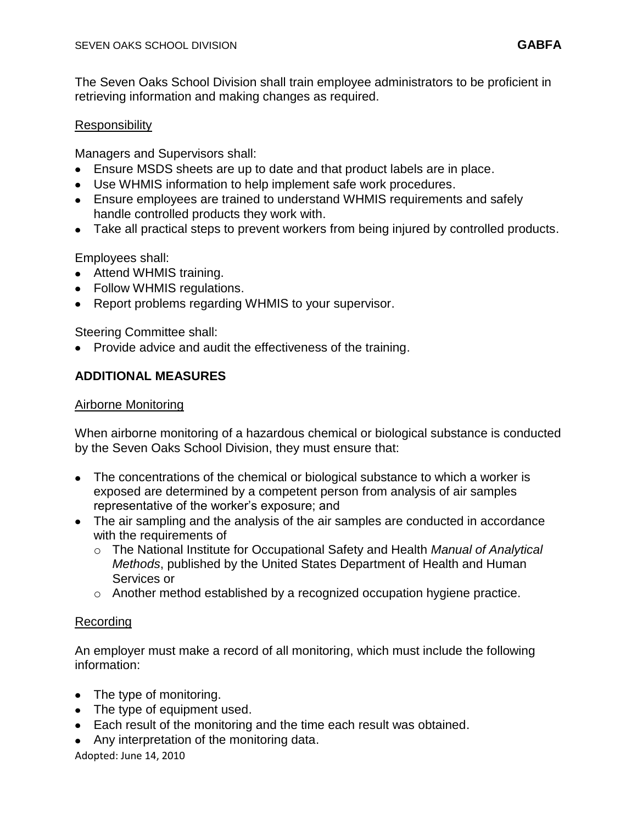The Seven Oaks School Division shall train employee administrators to be proficient in retrieving information and making changes as required.

# **Responsibility**

Managers and Supervisors shall:

- Ensure MSDS sheets are up to date and that product labels are in place.
- Use WHMIS information to help implement safe work procedures.
- Ensure employees are trained to understand WHMIS requirements and safely handle controlled products they work with.
- Take all practical steps to prevent workers from being injured by controlled products.

Employees shall:

- Attend WHMIS training.
- Follow WHMIS regulations.
- Report problems regarding WHMIS to your supervisor.

Steering Committee shall:

• Provide advice and audit the effectiveness of the training.

# **ADDITIONAL MEASURES**

### Airborne Monitoring

When airborne monitoring of a hazardous chemical or biological substance is conducted by the Seven Oaks School Division, they must ensure that:

- The concentrations of the chemical or biological substance to which a worker is exposed are determined by a competent person from analysis of air samples representative of the worker's exposure; and
- The air sampling and the analysis of the air samples are conducted in accordance with the requirements of
	- o The National Institute for Occupational Safety and Health *Manual of Analytical Methods*, published by the United States Department of Health and Human Services or
	- o Another method established by a recognized occupation hygiene practice.

# Recording

An employer must make a record of all monitoring, which must include the following information:

- The type of monitoring.
- The type of equipment used.
- Each result of the monitoring and the time each result was obtained.
- Any interpretation of the monitoring data.